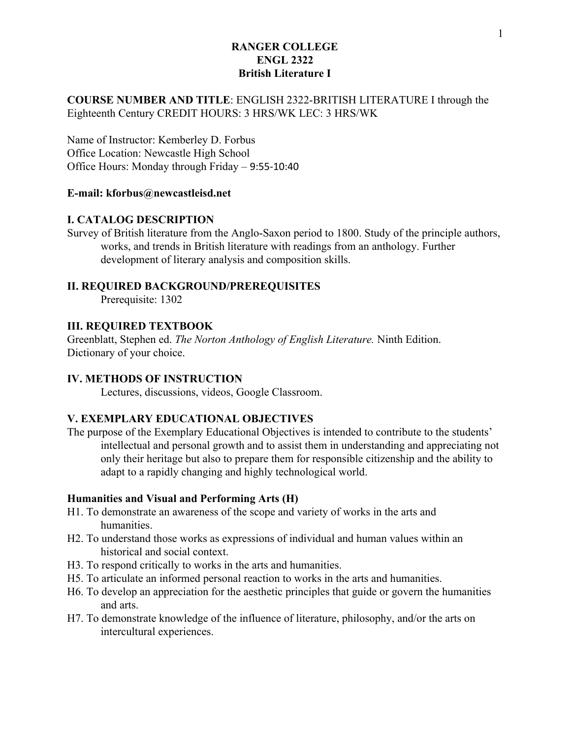## **COURSE NUMBER AND TITLE**: ENGLISH 2322-BRITISH LITERATURE I through the Eighteenth Century CREDIT HOURS: 3 HRS/WK LEC: 3 HRS/WK

Name of Instructor: Kemberley D. Forbus Office Location: Newcastle High School Office Hours: Monday through Friday – 9:55-10:40

#### **E-mail: kforbus@newcastleisd.net**

#### **I. CATALOG DESCRIPTION**

Survey of British literature from the Anglo-Saxon period to 1800. Study of the principle authors, works, and trends in British literature with readings from an anthology. Further development of literary analysis and composition skills.

#### **II. REQUIRED BACKGROUND/PREREQUISITES**

Prerequisite: 1302

## **III. REQUIRED TEXTBOOK**

Greenblatt, Stephen ed. *The Norton Anthology of English Literature.* Ninth Edition. Dictionary of your choice.

## **IV. METHODS OF INSTRUCTION**

Lectures, discussions, videos, Google Classroom.

## **V. EXEMPLARY EDUCATIONAL OBJECTIVES**

The purpose of the Exemplary Educational Objectives is intended to contribute to the students' intellectual and personal growth and to assist them in understanding and appreciating not only their heritage but also to prepare them for responsible citizenship and the ability to adapt to a rapidly changing and highly technological world.

#### **Humanities and Visual and Performing Arts (H)**

- H1. To demonstrate an awareness of the scope and variety of works in the arts and humanities.
- H2. To understand those works as expressions of individual and human values within an historical and social context.
- H3. To respond critically to works in the arts and humanities.
- H5. To articulate an informed personal reaction to works in the arts and humanities.
- H6. To develop an appreciation for the aesthetic principles that guide or govern the humanities and arts.
- H7. To demonstrate knowledge of the influence of literature, philosophy, and/or the arts on intercultural experiences.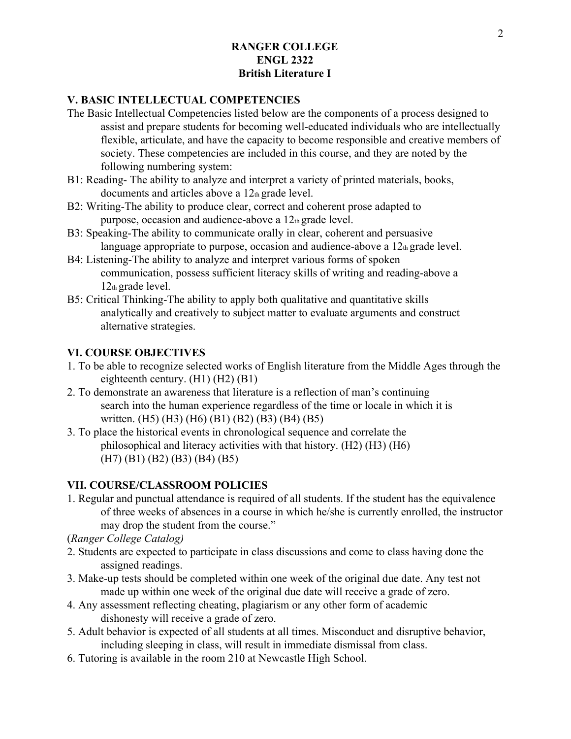## **V. BASIC INTELLECTUAL COMPETENCIES**

- The Basic Intellectual Competencies listed below are the components of a process designed to assist and prepare students for becoming well-educated individuals who are intellectually flexible, articulate, and have the capacity to become responsible and creative members of society. These competencies are included in this course, and they are noted by the following numbering system:
- B1: Reading- The ability to analyze and interpret a variety of printed materials, books, documents and articles above a 12th grade level.
- B2: Writing-The ability to produce clear, correct and coherent prose adapted to purpose, occasion and audience-above a 12th grade level.
- B3: Speaking-The ability to communicate orally in clear, coherent and persuasive language appropriate to purpose, occasion and audience-above a  $12<sub>th</sub>$  grade level.
- B4: Listening-The ability to analyze and interpret various forms of spoken communication, possess sufficient literacy skills of writing and reading-above a 12th grade level.
- B5: Critical Thinking-The ability to apply both qualitative and quantitative skills analytically and creatively to subject matter to evaluate arguments and construct alternative strategies.

## **VI. COURSE OBJECTIVES**

- 1. To be able to recognize selected works of English literature from the Middle Ages through the eighteenth century. (H1) (H2) (B1)
- 2. To demonstrate an awareness that literature is a reflection of man's continuing search into the human experience regardless of the time or locale in which it is written. (H5) (H3) (H6) (B1) (B2) (B3) (B4) (B5)
- 3. To place the historical events in chronological sequence and correlate the philosophical and literacy activities with that history. (H2) (H3) (H6) (H7) (B1) (B2) (B3) (B4) (B5)

## **VII. COURSE/CLASSROOM POLICIES**

1. Regular and punctual attendance is required of all students. If the student has the equivalence of three weeks of absences in a course in which he/she is currently enrolled, the instructor may drop the student from the course."

(*Ranger College Catalog)*

- 2. Students are expected to participate in class discussions and come to class having done the assigned readings.
- 3. Make-up tests should be completed within one week of the original due date. Any test not made up within one week of the original due date will receive a grade of zero.
- 4. Any assessment reflecting cheating, plagiarism or any other form of academic dishonesty will receive a grade of zero.
- 5. Adult behavior is expected of all students at all times. Misconduct and disruptive behavior, including sleeping in class, will result in immediate dismissal from class.
- 6. Tutoring is available in the room 210 at Newcastle High School.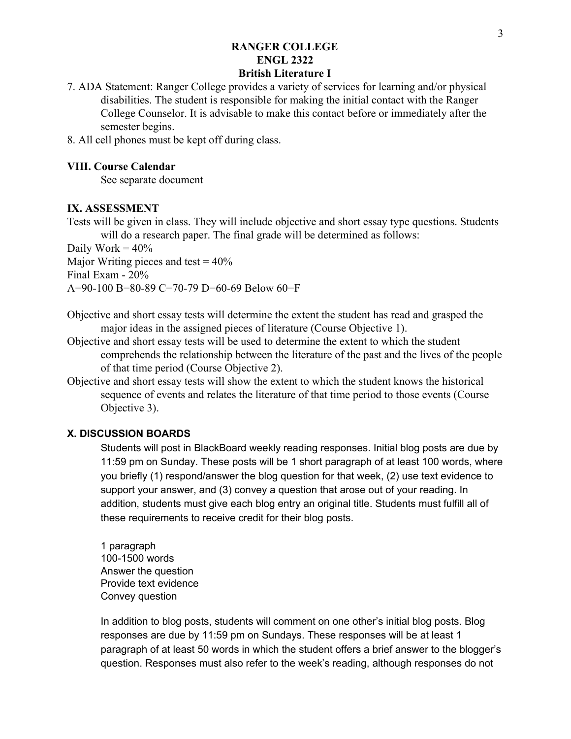# **RANGER COLLEGE ENGL 2322**

# **British Literature I**

7. ADA Statement: Ranger College provides a variety of services for learning and/or physical disabilities. The student is responsible for making the initial contact with the Ranger College Counselor. It is advisable to make this contact before or immediately after the semester begins.

8. All cell phones must be kept off during class.

#### **VIII. Course Calendar**

See separate document

## **IX. ASSESSMENT**

Tests will be given in class. They will include objective and short essay type questions. Students will do a research paper. The final grade will be determined as follows:

Daily Work  $= 40\%$ Major Writing pieces and test  $= 40\%$ Final Exam - 20% A=90-100 B=80-89 C=70-79 D=60-69 Below 60=F

Objective and short essay tests will determine the extent the student has read and grasped the major ideas in the assigned pieces of literature (Course Objective 1).

- Objective and short essay tests will be used to determine the extent to which the student comprehends the relationship between the literature of the past and the lives of the people of that time period (Course Objective 2).
- Objective and short essay tests will show the extent to which the student knows the historical sequence of events and relates the literature of that time period to those events (Course Objective 3).

## **X. DISCUSSION BOARDS**

Students will post in BlackBoard weekly reading responses. Initial blog posts are due by 11:59 pm on Sunday. These posts will be 1 short paragraph of at least 100 words, where you briefly (1) respond/answer the blog question for that week, (2) use text evidence to support your answer, and (3) convey a question that arose out of your reading. In addition, students must give each blog entry an original title. Students must fulfill all of these requirements to receive credit for their blog posts.

1 paragraph 100-1500 words Answer the question Provide text evidence Convey question

In addition to blog posts, students will comment on one other's initial blog posts. Blog responses are due by 11:59 pm on Sundays. These responses will be at least 1 paragraph of at least 50 words in which the student offers a brief answer to the blogger's question. Responses must also refer to the week's reading, although responses do not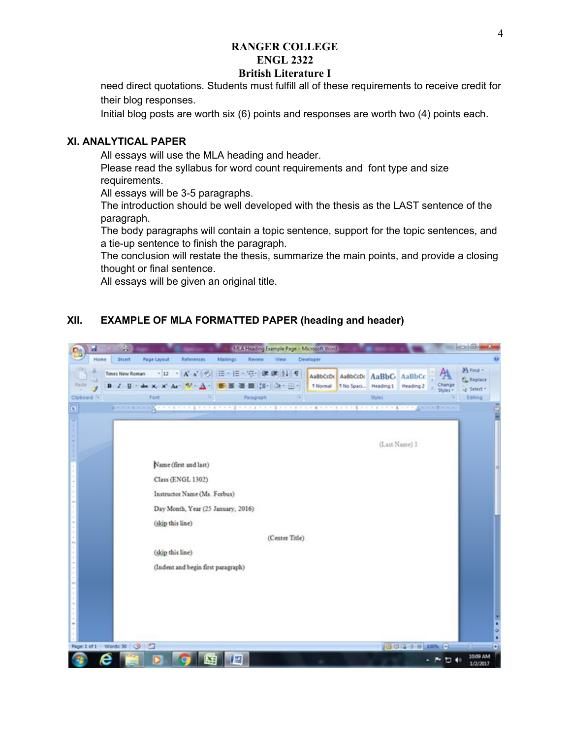# **RANGER COLLEGE ENGL 2322**

## **British Literature I**

need direct quotations. Students must fulfill all of these requirements to receive credit for their blog responses.

Initial blog posts are worth six (6) points and responses are worth two (4) points each.

#### **XI. ANALYTICAL PAPER**

All essays will use the MLA heading and header.

Please read the syllabus for word count requirements and font type and size requirements.

All essays will be 3-5 paragraphs.

The introduction should be well developed with the thesis as the LAST sentence of the paragraph.

The body paragraphs will contain a topic sentence, support for the topic sentences, and a tie-up sentence to finish the paragraph.

The conclusion will restate the thesis, summarize the main points, and provide a closing thought or final sentence.

All essays will be given an original title.

#### **XII. EXAMPLE OF MLA FORMATTED PAPER (heading and header)**

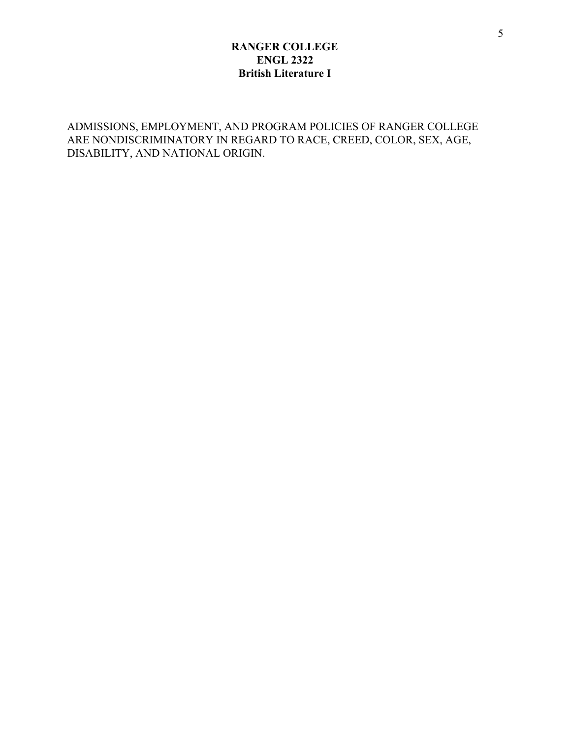ADMISSIONS, EMPLOYMENT, AND PROGRAM POLICIES OF RANGER COLLEGE ARE NONDISCRIMINATORY IN REGARD TO RACE, CREED, COLOR, SEX, AGE, DISABILITY, AND NATIONAL ORIGIN.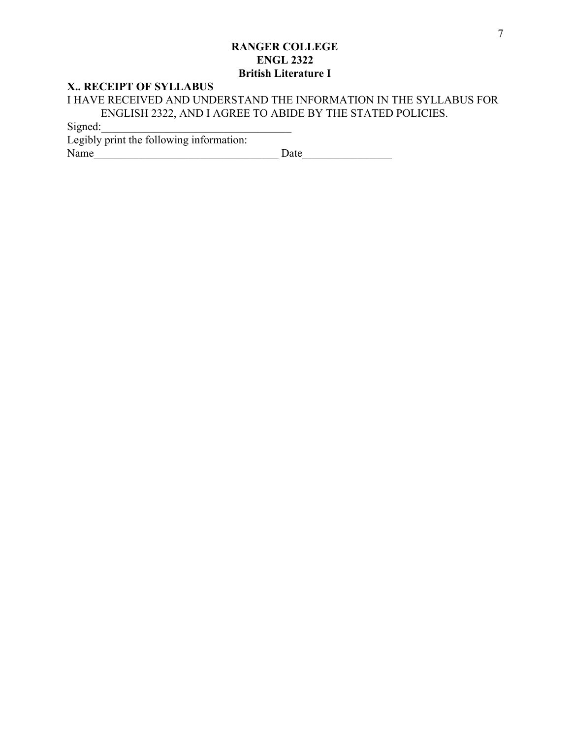#### **X.. RECEIPT OF SYLLABUS**

I HAVE RECEIVED AND UNDERSTAND THE INFORMATION IN THE SYLLABUS FOR ENGLISH 2322, AND I AGREE TO ABIDE BY THE STATED POLICIES.

Signed:

| Legibly print the following information: |      |
|------------------------------------------|------|
| Name                                     | Date |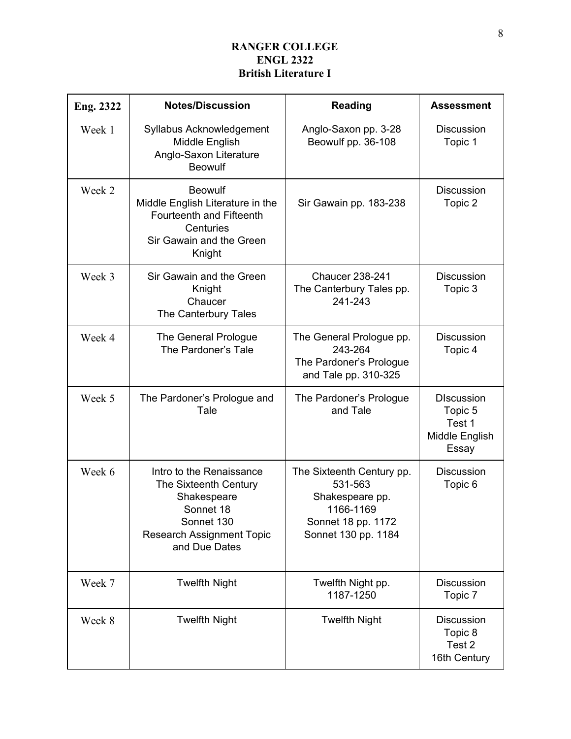| Eng. 2322 | <b>Notes/Discussion</b>                                                                                                                          | <b>Reading</b>                                                                                                    | <b>Assessment</b>                                                 |
|-----------|--------------------------------------------------------------------------------------------------------------------------------------------------|-------------------------------------------------------------------------------------------------------------------|-------------------------------------------------------------------|
| Week 1    | Syllabus Acknowledgement<br>Middle English<br>Anglo-Saxon Literature<br><b>Beowulf</b>                                                           | Anglo-Saxon pp. 3-28<br>Beowulf pp. 36-108                                                                        | <b>Discussion</b><br>Topic 1                                      |
| Week 2    | <b>Beowulf</b><br>Middle English Literature in the<br>Fourteenth and Fifteenth<br>Centuries<br>Sir Gawain and the Green<br>Knight                | Sir Gawain pp. 183-238                                                                                            | <b>Discussion</b><br>Topic 2                                      |
| Week 3    | Sir Gawain and the Green<br>Knight<br>Chaucer<br>The Canterbury Tales                                                                            | <b>Chaucer 238-241</b><br>The Canterbury Tales pp.<br>241-243                                                     | <b>Discussion</b><br>Topic 3                                      |
| Week 4    | The General Prologue<br>The Pardoner's Tale                                                                                                      | The General Prologue pp.<br>243-264<br>The Pardoner's Prologue<br>and Tale pp. 310-325                            | <b>Discussion</b><br>Topic 4                                      |
| Week 5    | The Pardoner's Prologue and<br>Tale                                                                                                              | The Pardoner's Prologue<br>and Tale                                                                               | <b>DIscussion</b><br>Topic 5<br>Test 1<br>Middle English<br>Essay |
| Week 6    | Intro to the Renaissance<br>The Sixteenth Century<br>Shakespeare<br>Sonnet 18<br>Sonnet 130<br><b>Research Assignment Topic</b><br>and Due Dates | The Sixteenth Century pp.<br>531-563<br>Shakespeare pp.<br>1166-1169<br>Sonnet 18 pp. 1172<br>Sonnet 130 pp. 1184 | <b>Discussion</b><br>Topic 6                                      |
| Week 7    | <b>Twelfth Night</b>                                                                                                                             | Twelfth Night pp.<br>1187-1250                                                                                    | <b>Discussion</b><br>Topic 7                                      |
| Week 8    | <b>Twelfth Night</b>                                                                                                                             | <b>Twelfth Night</b>                                                                                              | Discussion<br>Topic 8<br>Test 2<br>16th Century                   |